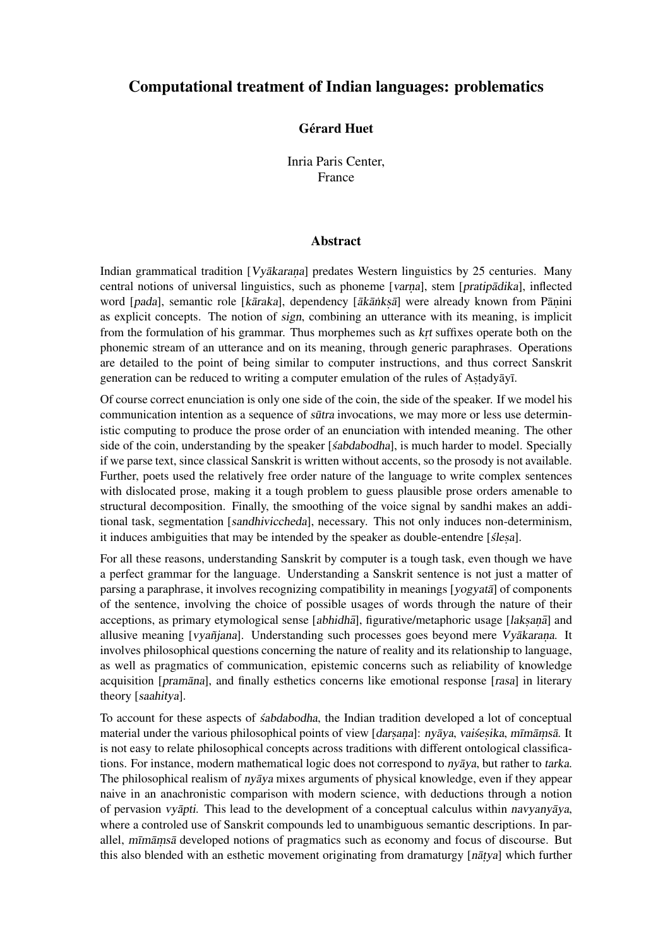## Computational treatment of Indian languages: problematics

## **Gérard Huet**

Inria Paris Center, France

## Abstract

Indian grammatical tradition  $[Vv\bar{a}k\bar{a}r\bar{a}n\bar{a}]$  predates Western linguistics by 25 centuries. Many central notions of universal linguistics, such as phoneme [varna], stem [pratipadika], inflected word [pada], semantic role [kāraka], dependency [ākānkṣā] were already known from Pāṇini as explicit concepts. The notion of sign, combining an utterance with its meaning, is implicit from the formulation of his grammar. Thus morphemes such as  $k$ <sub>r</sub>t suffixes operate both on the phonemic stream of an utterance and on its meaning, through generic paraphrases. Operations are detailed to the point of being similar to computer instructions, and thus correct Sanskrit generation can be reduced to writing a computer emulation of the rules of Astadyāyī.

Of course correct enunciation is only one side of the coin, the side of the speaker. If we model his communication intention as a sequence of *sūtra* invocations, we may more or less use deterministic computing to produce the prose order of an enunciation with intended meaning. The other side of the coin, understanding by the speaker [sabdabodha], is much harder to model. Specially if we parse text, since classical Sanskrit is written without accents, so the prosody is not available. Further, poets used the relatively free order nature of the language to write complex sentences with dislocated prose, making it a tough problem to guess plausible prose orders amenable to structural decomposition. Finally, the smoothing of the voice signal by sandhi makes an additional task, segmentation [sandhiviccheda], necessary. This not only induces non-determinism, it induces ambiguities that may be intended by the speaker as double-entendre [slesa].

For all these reasons, understanding Sanskrit by computer is a tough task, even though we have a perfect grammar for the language. Understanding a Sanskrit sentence is not just a matter of parsing a paraphrase, it involves recognizing compatibility in meanings [yogyata] of components of the sentence, involving the choice of possible usages of words through the nature of their acceptions, as primary etymological sense [abhidhā], figurative/metaphoric usage [laksanã] and allusive meaning [vyañjana]. Understanding such processes goes beyond mere Vyakarana. It involves philosophical questions concerning the nature of reality and its relationship to language, as well as pragmatics of communication, epistemic concerns such as reliability of knowledge acquisition [pramana], and finally esthetics concerns like emotional response [rasa] in literary theory [saahitya].

To account for these aspects of *sabdabodha*, the Indian tradition developed a lot of conceptual material under the various philosophical points of view [darsana]: nyāya, vaisesika, mīmāmsā. It is not easy to relate philosophical concepts across traditions with different ontological classifications. For instance, modern mathematical logic does not correspond to  $n\bar{y}$ , but rather to tarka. The philosophical realism of  $n\bar{y}$  mixes arguments of physical knowledge, even if they appear naive in an anachronistic comparison with modern science, with deductions through a notion of pervasion *vyāpti*. This lead to the development of a conceptual calculus within *navyanyaya*, where a controled use of Sanskrit compounds led to unambiguous semantic descriptions. In parallel, mīmāmsā developed notions of pragmatics such as economy and focus of discourse. But this also blended with an esthetic movement originating from dramaturgy [natya] which further